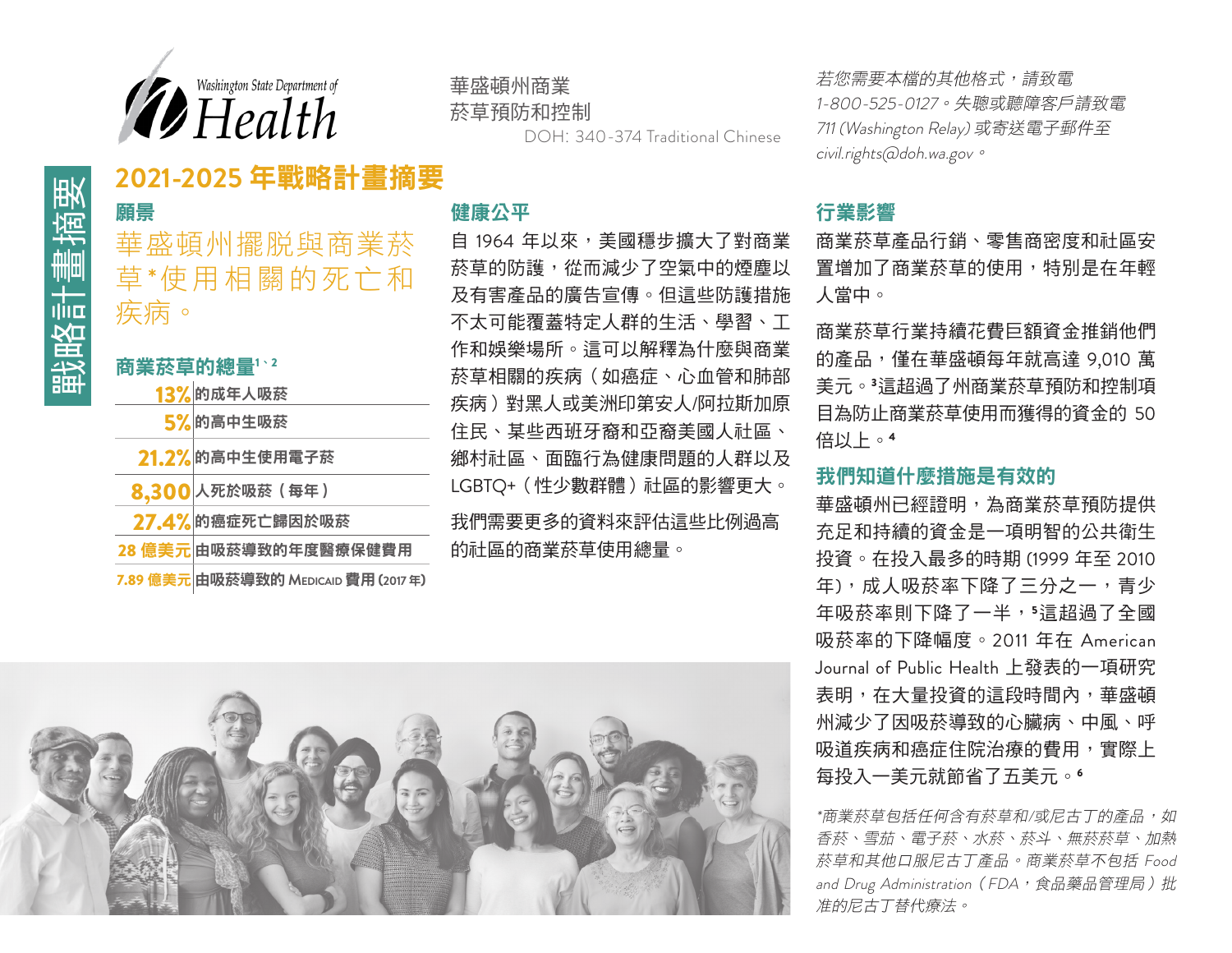

# 華盛頓州商業

菸草預防和控制

DOH: 340-374 Traditional Chinese

若您需要本檔的其他格式,請致電 1-800-525-0127。失聰或聽障客戶請致電 711 (Washington Relay) 或寄送電子郵件至 civil.rights@doh.wa.gov。

### 願景

12021-2025 年戰略計畫摘要<br>【解<sub>願景</sub><br>華盛頓州擺脱與商業菸<br>【<br>**第**<br>《<br>第一、<br>"<br>第一、<br>" 華盛頓州擺脫與商業菸 草\*使用相關的死亡和 疾病。

### 商業菸草的總量1、<sup>2</sup>

| 13%的成年人吸菸 |
|-----------|
|           |

- 5% 的高中生吸菸
- 21.2% 的高中生使用電子菸
- 8.300 人死於吸菸(每年)
- 27.4% 的癌症死亡歸因於吸菸
- 28 億美元 由吸菸導致的年度醫療保健費用
- 7.89 億美元 由吸菸導致的 **Medicaid**費用 **(2017** 年**)**

### 健康公平

自 1964 年以來,美國穩步擴大了對商業 菸草的防護,從而減少了空氣中的煙塵以 及有害產品的廣告宣傳。但這些防護措施 不太可能覆蓋特定人群的生活、學習、工 作和娛樂場所。這可以解釋為什麼與商業 菸草相關的疾病(如癌症、心血管和肺部 疾病)對黑人或美洲印第安人/阿拉斯加原 住民、某些西班牙裔和亞裔美國人社區、 鄉村社區、面臨行為健康問題的人群以及 LGBTO+ (性少數群體)社區的影響更大。

我們需要更多的資料來評估這些比例過高 的社區的商業菸草使用總量。



### 行業影響

商業菸草產品行銷、零售商密度和社區安 置增加了商業菸草的使用,特別是在年輕 人當中。

商業菸草行業持續花費巨額資金推銷他們 的產品,僅在華盛頓每年就高達 9,010萬 美元。3這超過了州商業菸草預防和控制項 目為防止商業菸草使用而獲得的資金的 50 倍以上。<sup>4</sup>

### 我們知道什麼措施是有效的

華盛頓州已經證明,為商業菸草預防提供 充足和持續的資金是一項明智的公共衛生 投資。在投入最多的時期 (1999 年至 2010 年),成人吸菸率下降了三分之一,青少 年吸菸率則下降了一半,5這超過了全國 吸菸率的下降幅度。2011 年在 American Journal of Public Health 上發表的一項研究 表明,在大量投資的這段時間內,華盛頓 州減少了因吸菸導致的心臟病、中風、呼 吸道疾病和癌症住院治療的費用,實際上 每投入一美元就節省了五美元。<sup>6</sup>

\*商業菸草包括任何含有菸草和/或尼古丁的產品,如 香菸、雪茄、電子菸、水菸、菸斗、無菸菸草、加熱 菸草和其他口服尼古丁產品。商業菸草不包括 Food and Drug Administration (FDA, 食品藥品管理局)批 准的尼古丁替代療法。